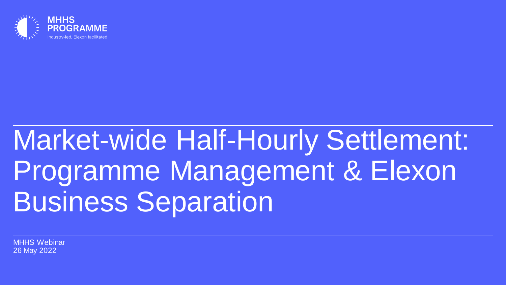

# Market-wide Half-Hourly Settlement: Programme Management & Elexon Business Separation

MHHS Webinar 26 May 2022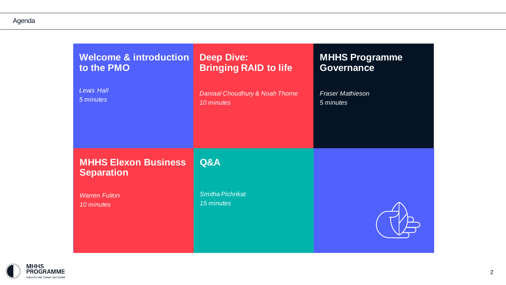#### Agenda

| <b>Welcome &amp; introduction</b>                | <b>Deep Dive:</b>                     | <b>MHHS Programme</b>   |
|--------------------------------------------------|---------------------------------------|-------------------------|
| to the PMO                                       | <b>Bringing RAID to life</b>          | <b>Governance</b>       |
| <b>Lewis Hall</b>                                | Daniaal Choudhury & Noah Thorne       | <b>Fraser Mathieson</b> |
| 5 minutes                                        | 10 minutes                            | 5 minutes               |
| <b>MHHS Elexon Business</b><br><b>Separation</b> | Q&A                                   |                         |
| <b>Warren Fulton</b><br>10 minutes               | <b>Smitha Pichrikat</b><br>15 minutes |                         |

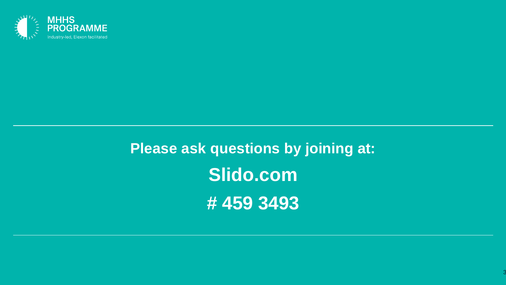

**Please ask questions by joining at: Slido.com # 459 3493**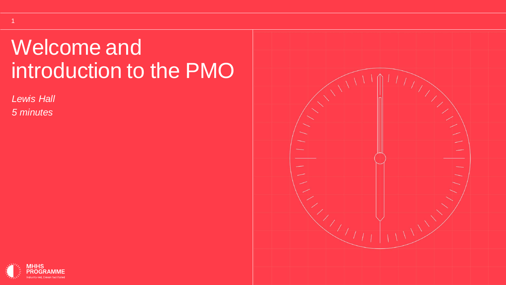## Welcome and introduction to the PMO

*Lewis Hall* 

1

*5 minutes*



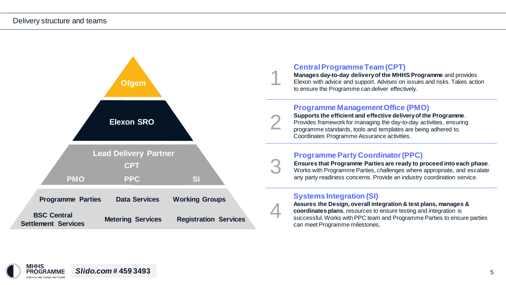

#### **Central Programme Team (CPT)**

1

2

3

4

**Manages day-to-day delivery of the MHHS Programme** and provides Elexon with advice and support. Advises on issues and risks. Takes action to ensure the Programme can deliver effectively.

#### **Programme Management Office (PMO)**

**Supports the efficient and effective delivery of the Programme**. Provides framework for managing the day-to-day activities, ensuring programme standards, tools and templates are being adhered to. Coordinates Programme Assurance activities.

#### **Programme Party Coordinator (PPC)**

**Ensures that Programme Parties are ready to proceed into each phase**. Works with Programme Parties, challenges where appropriate, and escalate any party readiness concerns. Provide an industry coordination service.

#### **Systems Integration (SI)**

**Assures the Design, overall integration & test plans, manages & coordinates plans**, resources to ensure testing and integration is successful. Works with PPC team and Programme Parties to ensure parties can meet Programme milestones.

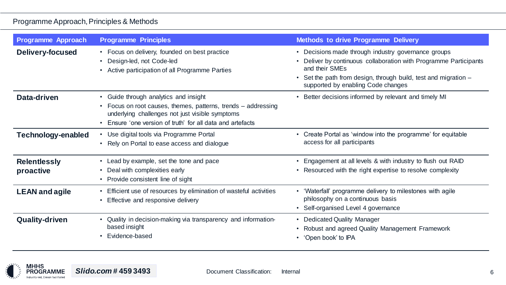#### Programme Approach, Principles & Methods

| <b>Programme Approach</b>        | <b>Programme Principles</b>                                                                                                                                                                                             | <b>Methods to drive Programme Delivery</b>                                                                                                                                                                                                      |
|----------------------------------|-------------------------------------------------------------------------------------------------------------------------------------------------------------------------------------------------------------------------|-------------------------------------------------------------------------------------------------------------------------------------------------------------------------------------------------------------------------------------------------|
| <b>Delivery-focused</b>          | • Focus on delivery, founded on best practice<br>Design-led, not Code-led<br>Active participation of all Programme Parties                                                                                              | • Decisions made through industry governance groups<br>Deliver by continuous collaboration with Programme Participants<br>and their SMEs<br>Set the path from design, through build, test and migration -<br>supported by enabling Code changes |
| Data-driven                      | • Guide through analytics and insight<br>• Focus on root causes, themes, patterns, trends - addressing<br>underlying challenges not just visible symptoms<br>• Ensure 'one version of truth' for all data and artefacts | • Better decisions informed by relevant and timely MI                                                                                                                                                                                           |
| Technology-enabled               | Use digital tools via Programme Portal<br>• Rely on Portal to ease access and dialogue                                                                                                                                  | • Create Portal as 'window into the programme' for equitable<br>access for all participants                                                                                                                                                     |
| <b>Relentlessly</b><br>proactive | • Lead by example, set the tone and pace<br>• Deal with complexities early<br>• Provide consistent line of sight                                                                                                        | Engagement at all levels & with industry to flush out RAID<br>Resourced with the right expertise to resolve complexity<br>$\bullet$                                                                                                             |
| <b>LEAN and agile</b>            | Efficient use of resources by elimination of wasteful activities<br>• Effective and responsive delivery                                                                                                                 | • 'Waterfall' programme delivery to milestones with agile<br>philosophy on a continuous basis<br>• Self-organised Level 4 governance                                                                                                            |
| <b>Quality-driven</b>            | Quality in decision-making via transparency and information-<br>based insight<br>Evidence-based                                                                                                                         | • Dedicated Quality Manager<br>Robust and agreed Quality Management Framework<br>$\bullet$<br>'Open book' to IPA                                                                                                                                |

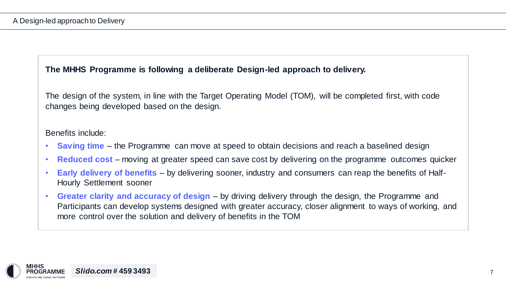#### **The MHHS Programme is following a deliberate Design-led approach to delivery.**

The design of the system, in line with the Target Operating Model (TOM), will be completed first, with code changes being developed based on the design.

#### Benefits include:

- **Saving time** the Programme can move at speed to obtain decisions and reach a baselined design
- **Reduced cost** moving at greater speed can save cost by delivering on the programme outcomes quicker
- **Early delivery of benefits**  by delivering sooner, industry and consumers can reap the benefits of Half-Hourly Settlement sooner
- **Greater clarity and accuracy of design**  by driving delivery through the design, the Programme and Participants can develop systems designed with greater accuracy, closer alignment to ways of working, and more control over the solution and delivery of benefits in the TOM

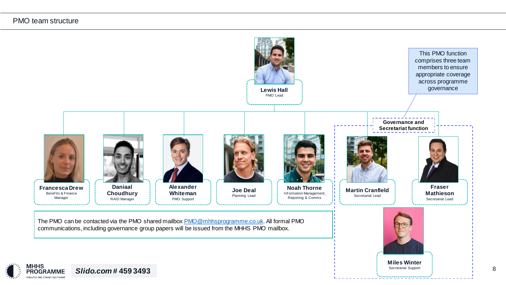#### PMO team structure

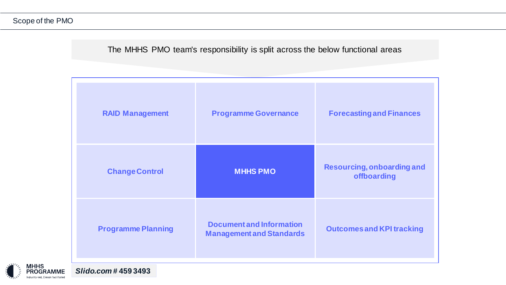The MHHS PMO team's responsibility is split across the below functional areas

| <b>RAID Management</b>    | <b>Programme Governance</b>                                        | <b>Forecasting and Finances</b>                  |
|---------------------------|--------------------------------------------------------------------|--------------------------------------------------|
| <b>Change Control</b>     | <b>MHHS PMO</b>                                                    | <b>Resourcing, onboarding and</b><br>offboarding |
| <b>Programme Planning</b> | <b>Document and Information</b><br><b>Management and Standards</b> | <b>Outcomes and KPI tracking</b>                 |



*Slido.com #* **459 3493**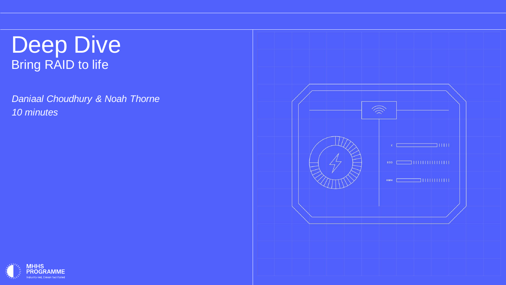## Deep Dive Bring RAID to life

*Daniaal Choudhury & Noah Thorne 10 minutes*



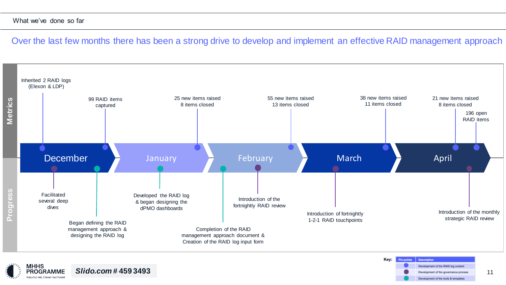#### What we've done so far

Over the last few months there has been a strong drive to develop and implement an effective RAID management approach



11

Development of the governance process

Development of the tools & templates

*Slido.com #* **459 3493** PROGRAMME Industry-led, Elexon facilitated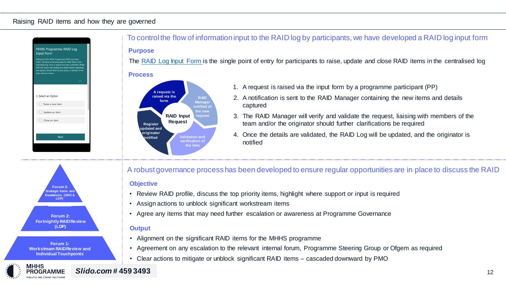#### Raising RAID items and how they are governed



To control the flow of information input to the RAID log by participants, we have developed a RAID log input form **Purpose**

The [RAID Log Input Form i](https://forms.office.com/r/ZQLFh8RVgU)s the single point of entry for participants to raise, update and close RAID items in the centralised log

#### **Process**



- 1. A request is raised via the input form by a programme participant (PP)
- 2. A notification is sent to the RAID Manager containing the new items and details captured
- 3. The RAID Manager will verify and validate the request, liaising with members of the team and/or the originator should further clarifications be required
- 4. Once the details are validated, the RAID Log will be updated, and the originator is notified



**Forum 1: Workstream RAID Review and Individual Touchpoints** 

мннѕ

**PROGRAMME** Industry-led. Elexon facilitated A robust governance process has been developed to ensure regular opportunities are in place to discuss the RAID

#### **Objective**

- Review RAID profile, discuss the top priority items, highlight where support or input is required
- Assign actions to unblock significant workstream items
- Agree any items that may need further escalation or awareness at Programme Governance

#### **Output**

- Alignment on the significant RAID items for the MHHS programme
- Agreement on any escalation to the relevant internal forum, Programme Steering Group or Ofgem as required
- Clear actions to mitigate or unblock significant RAID items cascaded downward by PMO

*Slido.com #* **459 3493**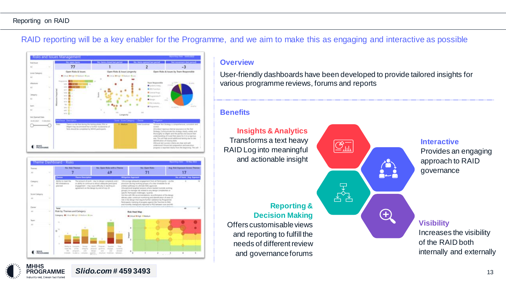#### Reporting on RAID

**MHHS** 

PROGRAMME Industry-led. Elexon facilitated

RAID reporting will be a key enabler for the Programme, and we aim to make this as engaging and interactive as possible





*Slido.com #* **459 3493**

#### **Overview**

User-friendly dashboards have been developed to provide tailored insights for various programme reviews, forums and reports

#### **Benefits**

**Insights & Analytics** Transforms a text heavy RAID Log into meaningful and actionable insight

#### **Reporting & Decision Making**

Offers customisable views and reporting to fulfill the needs of different review and governance forums



#### **Interactive**

Provides an engaging approach to RAID governance

#### **Visibility**

Increases the visibility of the RAID both internally and externally

13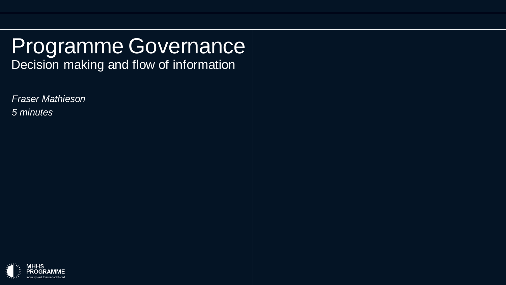## Programme Governance Decision making and flow of information

*Fraser Mathieson*

*5 minutes*

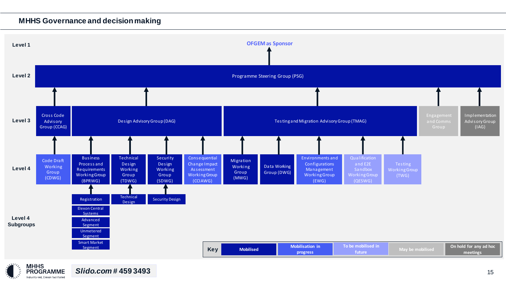#### **MHHS Governance and decision making**

Industry-led, Elexon facilitated

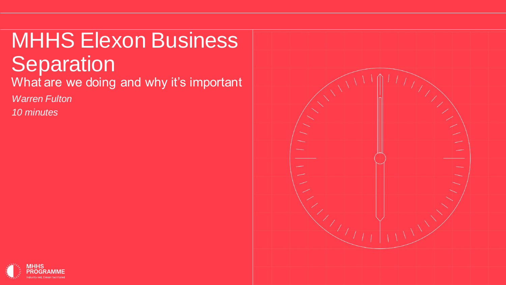# MHHS Elexon Business **Separation**

What are we doing and why it's important

*Warren Fulton*

*10 minutes*



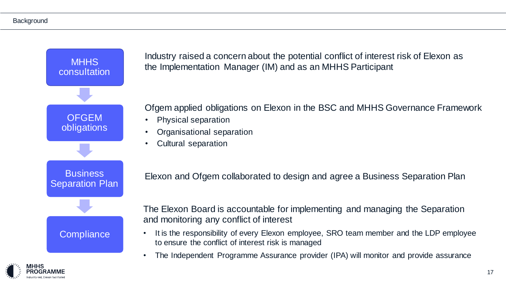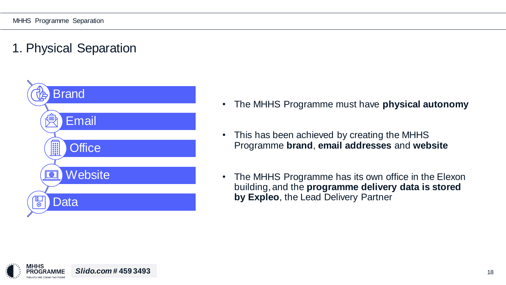## 1. Physical Separation



- The MHHS Programme must have **physical autonomy**
- This has been achieved by creating the MHHS Programme **brand**, **email addresses** and **website**
- The MHHS Programme has its own office in the Elexon building, and the **programme delivery data is stored by Expleo**, the Lead Delivery Partner

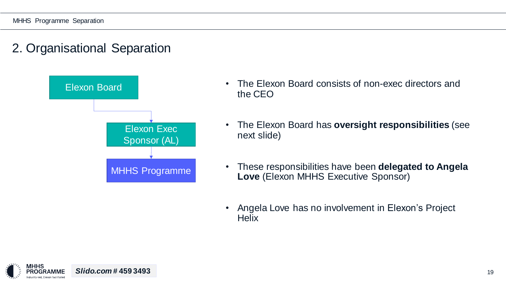

- The Elexon Board consists of non-exec directors and the CEO
- The Elexon Board has **oversight responsibilities** (see next slide)
- These responsibilities have been **delegated to Angela Love** (Elexon MHHS Executive Sponsor)
- Angela Love has no involvement in Elexon's Project **Helix**

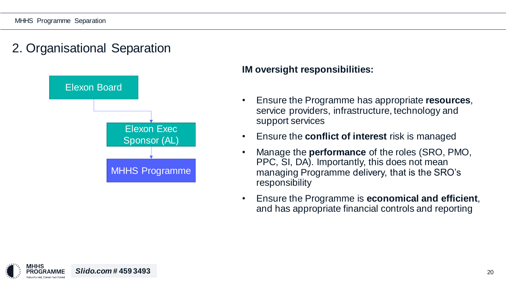

#### **IM oversight responsibilities:**

- Ensure the Programme has appropriate **resources**, service providers, infrastructure, technology and support services
- Ensure the **conflict of interest** risk is managed
- Manage the **performance** of the roles (SRO, PMO, PPC, SI, DA). Importantly, this does not mean managing Programme delivery, that is the SRO's responsibility
- Ensure the Programme is **economical and efficient**, and has appropriate financial controls and reporting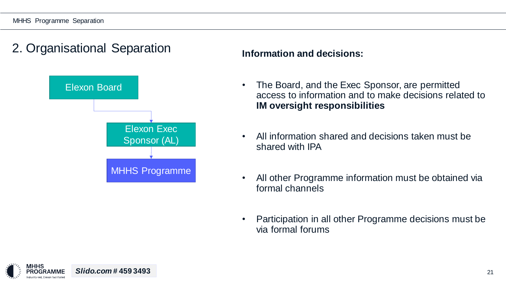

#### **Information and decisions:**

- The Board, and the Exec Sponsor, are permitted access to information and to make decisions related to **IM oversight responsibilities**
- All information shared and decisions taken must be shared with IPA
- All other Programme information must be obtained via formal channels
- Participation in all other Programme decisions must be via formal forums

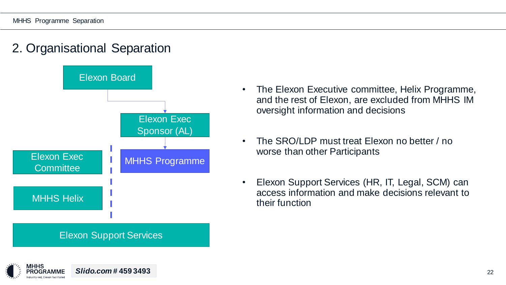

*Slido.com #* **459 3493** 22

- The Elexon Executive committee, Helix Programme, and the rest of Elexon, are excluded from MHHS IM oversight information and decisions
- The SRO/LDP must treat Elexon no better / no worse than other Participants
- Elexon Support Services (HR, IT, Legal, SCM) can access information and make decisions relevant to their function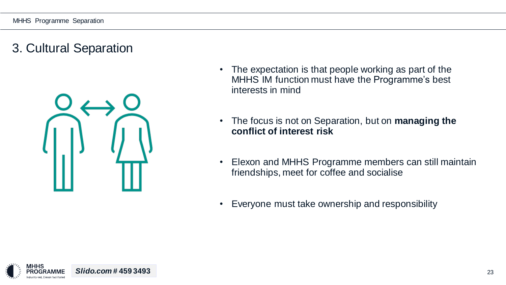## 3. Cultural Separation



- The expectation is that people working as part of the MHHS IM function must have the Programme's best interests in mind
- The focus is not on Separation, but on **managing the conflict of interest risk**
- Elexon and MHHS Programme members can still maintain friendships, meet for coffee and socialise
- Everyone must take ownership and responsibility

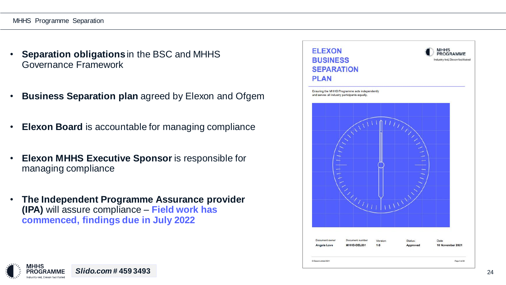#### MHHS Programme Separation

- **Separation obligations** in the BSC and MHHS Governance Framework
- **Business Separation plan** agreed by Elexon and Ofgem
- **Elexon Board** is accountable for managing compliance
- **Elexon MHHS Executive Sponsor** is responsible for managing compliance
- **The Independent Programme Assurance provider (IPA)** will assure compliance – **Field work has commenced, findings due in July 2022**

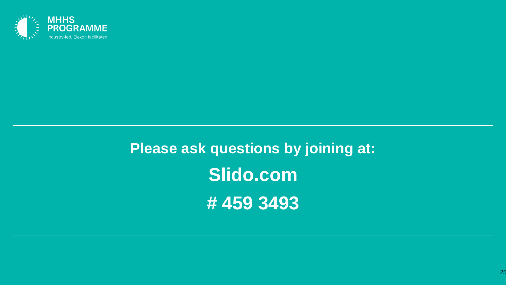

**Please ask questions by joining at: Slido.com # 459 3493**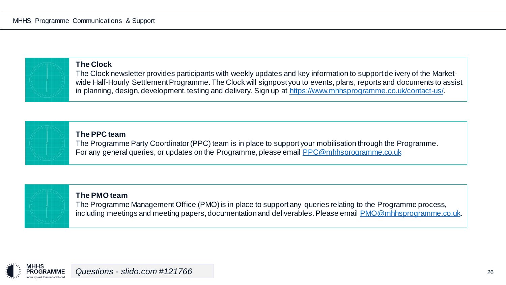

#### **The Clock**

The Clock newsletter provides participants with weekly updates and key information to support delivery of the Marketwide Half-Hourly Settlement Programme. The Clock will signpost you to events, plans, reports and documents to assist in planning, design, development, testing and delivery. Sign up at [https://www.mhhsprogramme.co.uk/contact-us/.](https://www.mhhsprogramme.co.uk/contact-us/)

#### **The PPC team**

The Programme Party Coordinator (PPC) team is in place to support your mobilisation through the Programme. For any general queries, or updates on the Programme, please email [PPC@mhhsprogramme.co.uk](mailto:PPC@mhhsprogramme.co.uk)

#### **The PMO team**

The Programme Management Office (PMO) is in place to support any queries relating to the Programme process, including meetings and meeting papers, documentation and deliverables. Please email [PMO@mhhsprogramme.co.uk.](mailto:PMO@mhhsprogramme.co.uk)